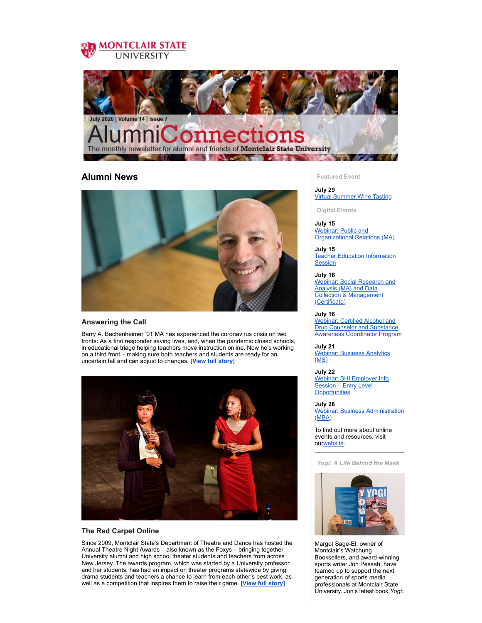



## **Alumni News**



### **Answering the Call**

Barry A. Bachenheimer '01 MA has experienced the coronavirus crisis on two fronts: As a first responder saving lives, and, when the pandemic closed schools, in educational triage helping teachers move instruction online. Now he's working on a third front – making sure both teachers and students are ready for an uncertain fall and can adjust to changes. **[View full [story\]](https://montclairconnect.org/page.redir?target=https%3a%2f%2fwww.montclair.edu%2fnewscenter%2f2020%2f06%2f29%2fanswering-the-call&srcid=35281&srctid=1&erid=33404939&trid=debc43d5-5377-4c04-ac93-f638fdf714a5)**



### **The Red Carpet Online**

Since 2009, Montclair State's Department of Theatre and Dance has hosted the Annual Theatre Night Awards – also known as the Foxys – bringing together University alumni and high school theater students and teachers from across New Jersey. The awards program, which was started by a University professor and her students, has had an impact on theater programs statewide by giving drama students and teachers a chance to learn from each other's best work, as well as a competition that inspires them to raise their game. **[View full [story\]](https://montclairconnect.org/page.redir?target=https%3a%2f%2fwww.montclair.edu%2fnewscenter%2f2020%2f06%2f01%2fthe-red-carpet-online%2f&srcid=35281&srctid=1&erid=33404939&trid=debc43d5-5377-4c04-ac93-f638fdf714a5)**

**Featured Event**

**July 29** Virtual [Summer](https://montclairconnect.org/page.redir?target=https%3a%2f%2fmontclairconnect.org%2fvirtual-summer-wine-tasting&srcid=35281&srctid=1&erid=33404939&trid=debc43d5-5377-4c04-ac93-f638fdf714a5) Wine Tasting

**Digital Events**

**July 15** Webinar: Public and [Organizational](https://montclairconnect.org/page.redir?target=https%3a%2f%2fmontclairconnect.org%2fget-involved%2fevent-detail%3fcid%3d6%26ceid%3d2054%26cerid%3d0%26cdt%3d7%252f15%252f2020&srcid=35281&srctid=1&erid=33404939&trid=debc43d5-5377-4c04-ac93-f638fdf714a5) Relations (MA)

**July 15** Teacher Education [Information](https://montclairconnect.org/page.redir?target=https%3a%2f%2fmontclairconnect.org%2fget-involved%2fevent-detail%3fcid%3d6%26ceid%3d2053%26cerid%3d0%26cdt%3d7%252f15%252f2020&srcid=35281&srctid=1&erid=33404939&trid=debc43d5-5377-4c04-ac93-f638fdf714a5) **Session** 

**July 16** Webinar: Social Research and Analysis (MA) and Data Collection & [Management](https://montclairconnect.org/page.redir?target=https%3a%2f%2fmontclairconnect.org%2fget-involved%2fevent-detail%3fcid%3d6%26ceid%3d2070%26cerid%3d0%26cdt%3d7%252f16%252f2020&srcid=35281&srctid=1&erid=33404939&trid=debc43d5-5377-4c04-ac93-f638fdf714a5) (Certificate)

**July 16** Webinar: Certified Alcohol and **Drug Counselor and Substance** Awareness [Coordinator](https://montclairconnect.org/page.redir?target=https%3a%2f%2fmontclairconnect.org%2fget-involved%2fevent-detail%3fcid%3d6%26ceid%3d2069%26cerid%3d0%26cdt%3d7%252f16%252f2020&srcid=35281&srctid=1&erid=33404939&trid=debc43d5-5377-4c04-ac93-f638fdf714a5) Program

**July 21** Webinar: [Business](https://montclairconnect.org/page.redir?target=https%3a%2f%2fmontclairconnect.org%2fget-involved%2fevent-detail%3fcid%3d6%26ceid%3d2055%26cerid%3d0%26cdt%3d7%252f21%252f2020&srcid=35281&srctid=1&erid=33404939&trid=debc43d5-5377-4c04-ac93-f638fdf714a5) Analytics  $(MS)$ 

**July 22** Webinar: SHI Employer Info Session – Entry Level **[Opportunities](https://montclairconnect.org/page.redir?target=https%3a%2f%2fmontclairconnect.org%2fget-involved%2fevent-detail%3fcid%3d6%26ceid%3d2071%26cerid%3d0%26cdt%3d7%252f22%252f2020&srcid=35281&srctid=1&erid=33404939&trid=debc43d5-5377-4c04-ac93-f638fdf714a5)** 

**July 28** Webinar: Business [Administration](https://montclairconnect.org/page.redir?target=https%3a%2f%2fmontclairconnect.org%2fget-involved%2fevent-detail%3fcid%3d6%26ceid%3d2056%26cerid%3d0%26cdt%3d7%252f28%252f2020&srcid=35281&srctid=1&erid=33404939&trid=debc43d5-5377-4c04-ac93-f638fdf714a5) (MBA)

To find out more about online events and resources, visit our[website.](https://montclairconnect.org/page.redir?target=https%3a%2f%2fwww.montclair.edu%2falumni%2fonline-programs%2f&srcid=35281&srctid=1&erid=33404939&trid=debc43d5-5377-4c04-ac93-f638fdf714a5)

*Yogi: A Life Behind the Mask*



Margot Sage-El, owner of Montclair's Watchung Booksellers, and award-winning sports writer Jon Pessah, have teamed up to support the next generation of sports media professionals at Montclair State University. Jon's latest book,*Yogi:*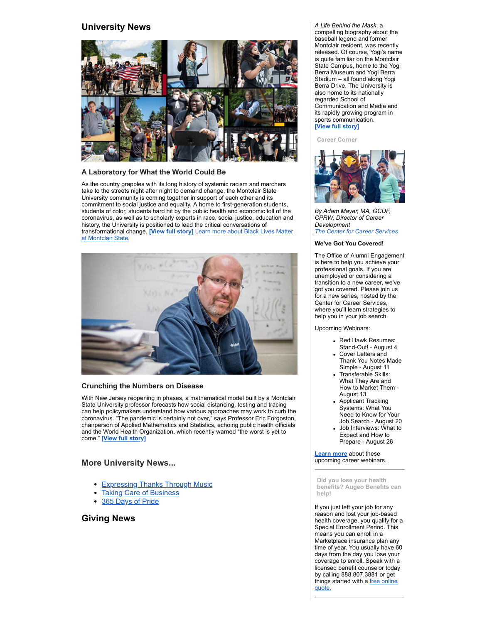## **University News**



### **A Laboratory for What the World Could Be**

As the country grapples with its long history of systemic racism and marchers take to the streets night after night to demand change, the Montclair State University community is coming together in support of each other and its commitment to social justice and equality. A home to first-generation students, students of color, students hard hit by the public health and economic toll of the coronavirus, as well as to scholarly experts in race, social justice, education and history, the University is positioned to lead the critical conversations of [transformational](https://montclairconnect.org/page.redir?target=https%3a%2f%2fwww.montclair.edu%2fsocial-justice-diversity%2fblack-lives-matter%2f&srcid=35281&srctid=1&erid=33404939&trid=debc43d5-5377-4c04-ac93-f638fdf714a5) change. **[View full [story\]](https://montclairconnect.org/page.redir?target=https%3a%2f%2fwww.montclair.edu%2fnewscenter%2f2020%2f06%2f18%2fa-laboratory-for-what-the-world-could-be%2f&srcid=35281&srctid=1&erid=33404939&trid=debc43d5-5377-4c04-ac93-f638fdf714a5)** Learn more about Black Lives Matter at Montclair State.



### **Crunching the Numbers on Disease**

With New Jersey reopening in phases, a mathematical model built by a Montclair State University professor forecasts how social distancing, testing and tracing can help policymakers understand how various approaches may work to curb the coronavirus. "The pandemic is certainly not over," says Professor Eric Forgoston, chairperson of Applied Mathematics and Statistics, echoing public health officials and the World Health Organization, which recently warned "the worst is yet to come." **[View full [story\]](https://montclairconnect.org/page.redir?target=https%3a%2f%2fwww.montclair.edu%2fnewscenter%2f2020%2f07%2f07%2fcrunching-the-numbers-on-disease%2f&srcid=35281&srctid=1&erid=33404939&trid=debc43d5-5377-4c04-ac93-f638fdf714a5)**

## **More University News...**

- [Expressing Thanks Through Music](https://montclairconnect.org/page.redir?target=https%3a%2f%2fwww.montclair.edu%2fnewscenter%2f2020%2f06%2f23%2fexpressing-thanks-through-music%2f&srcid=35281&srctid=1&erid=33404939&trid=debc43d5-5377-4c04-ac93-f638fdf714a5)
- **[Taking Care of Business](https://montclairconnect.org/page.redir?target=https%3a%2f%2fwww.montclair.edu%2fnewscenter%2f2020%2f06%2f25%2ftaking-care-of-business%2f&srcid=35281&srctid=1&erid=33404939&trid=debc43d5-5377-4c04-ac93-f638fdf714a5)**
- [365 Days of Pride](https://montclairconnect.org/page.redir?target=https%3a%2f%2fwww.montclair.edu%2fnewscenter%2f2020%2f06%2f30%2f365-days-of-pride%2f&srcid=35281&srctid=1&erid=33404939&trid=debc43d5-5377-4c04-ac93-f638fdf714a5)

## **Giving News**

*A Life Behind the Mask*, a compelling biography about the baseball legend and former Montclair resident, was recently released. Of course, Yogi's name is quite familiar on the Montclair State Campus, home to the Yogi Berra Museum and Yogi Berra Stadium – all found along Yogi Berra Drive. The University is also home to its nationally regarded School of Communication and Media and its rapidly growing program in sports communication. **[View full [story\]](https://montclairconnect.org/page.redir?target=https%3a%2f%2fwww.montclair.edu%2falumni%2f2020%2f07%2f09%2f209121&srcid=35281&srctid=1&erid=33404939&trid=debc43d5-5377-4c04-ac93-f638fdf714a5)**

#### **Career Corner**



*By Adam Mayer, MA, GCDF, CPRW, Director of Career Development The Center for Career [Services](https://montclairconnect.org/page.redir?target=https%3a%2f%2fwww.montclair.edu%2fcareer-services%2f&srcid=35281&srctid=1&erid=33404939&trid=debc43d5-5377-4c04-ac93-f638fdf714a5)*

#### **We've Got You Covered!**

The Office of Alumni Engagement is here to help you achieve your professional goals. If you are unemployed or considering a transition to a new career, we've got you covered. Please join us for a new series, hosted by the Center for Career Services, where you'll learn strategies to help you in your job search.

Upcoming Webinars:

- Red Hawk Resumes: Stand-Out! - August 4
- Cover Letters and Thank You Notes Made Simple - August 11
- Transferable Skills: What They Are and How to Market Them - August 13
- Applicant Tracking Systems: What You Need to Know for Your Job Search - August 20
- Job Interviews: What to Expect and How to Prepare - August 26

**[Learn](https://montclairconnect.org/page.redir?target=https%3a%2f%2fwww.montclair.edu%2fcareer-services%2fcurrent-students%2fevents-and-workshops%2f&srcid=35281&srctid=1&erid=33404939&trid=debc43d5-5377-4c04-ac93-f638fdf714a5) more** about these upcoming career webinars.

**Did you lose your health benefits? Augeo Benefits can help!**

If you just left your job for any reason and lost your job-based health coverage, you qualify for a Special Enrollment Period. This means you can enroll in a Marketplace insurance plan any time of year. You usually have 60 days from the day you lose your coverage to enroll. Speak with a licensed benefit counselor today by calling 888.807.3881 or get things [started](https://montclairconnect.org/page.redir?target=http%3a%2f%2fmsuaa.augeobenefits.com&srcid=35281&srctid=1&erid=33404939&trid=debc43d5-5377-4c04-ac93-f638fdf714a5) with a free online quote.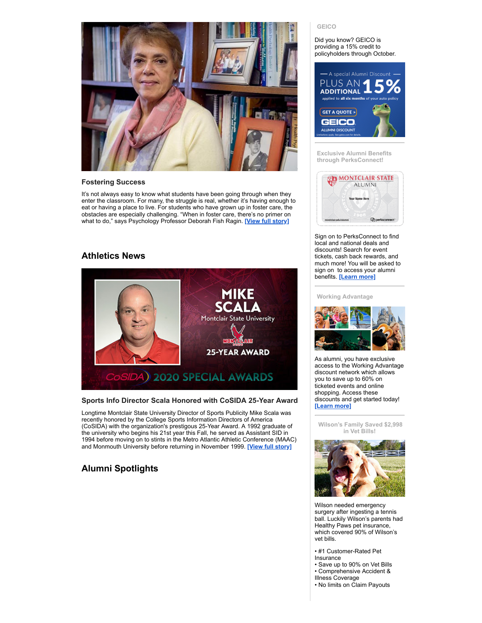

#### **Fostering Success**

It's not always easy to know what students have been going through when they enter the classroom. For many, the struggle is real, whether it's having enough to eat or having a place to live. For students who have grown up in foster care, the obstacles are especially challenging. "When in foster care, there's no primer on what to do," says Psychology Professor Deborah Fish Ragin. **[View full [story\]](https://montclairconnect.org/page.redir?target=https%3a%2f%2fwww.montclair.edu%2fmagazine%2fspring-summer-2020%2ffostering-success%2f&srcid=35281&srctid=1&erid=33404939&trid=debc43d5-5377-4c04-ac93-f638fdf714a5)**

# **Athletics News**



## **Sports Info Director Scala Honored with CoSIDA 25-Year Award**

Longtime Montclair State University Director of Sports Publicity Mike Scala was recently honored by the College Sports Information Directors of America (CoSIDA) with the organization's prestigous 25-Year Award. A 1992 graduate of the university who begins his 21st year this Fall, he served as Assistant SID in 1994 before moving on to stints in the Metro Atlantic Athletic Conference (MAAC) and Monmouth University before returning in November 1999. **[View full [story\]](https://montclairconnect.org/page.redir?target=https%3a%2f%2fmontclairathletics.com%2fnews%2f2020%2f7%2f2%2fgeneral-sports-info-director-scala-honored-with-cosida-25-year-award.aspx&srcid=35281&srctid=1&erid=33404939&trid=debc43d5-5377-4c04-ac93-f638fdf714a5)**

# **Alumni Spotlights**

#### **GEICO**

Did you know? GEICO is providing a 15% credit to policyholders through October.



**Exclusive Alumni Benefits through PerksConnect!**



Sign on to PerksConnect to find local and national deals and discounts! Search for event tickets, cash back rewards, and much more! You will be asked to sign on to access your alumni benefits. **[\[Learn](https://montclairconnect.org/page.redir?target=https%3a%2f%2fwww.montclair.edu%2falumni%2fbenefits-and-services%2fdiscounts-2&srcid=35281&srctid=1&erid=33404939&trid=debc43d5-5377-4c04-ac93-f638fdf714a5) more]**

#### **Working Advantage**



As alumni, you have exclusive access to the Working Advantage discount network which allows you to save up to 60% on ticketed events and online shopping. Access these discounts and get started today! **[\[Learn](https://montclairconnect.org/page.redir?target=https%3a%2f%2fwww.montclair.edu%2falumni%2fbenefits-and-services%2fdiscounts-2&srcid=35281&srctid=1&erid=33404939&trid=debc43d5-5377-4c04-ac93-f638fdf714a5) more]**

**Wilson's Family Saved \$2,998 in Vet Bills!**



Wilson needed emergency surgery after ingesting a tennis ball. Luckily Wilson's parents had Healthy Paws pet insurance, which covered 90% of Wilson's vet bills.

• #1 Customer-Rated Pet

Insurance

• Save up to 90% on Vet Bills • Comprehensive Accident &

Illness Coverage

• No limits on Claim Payouts